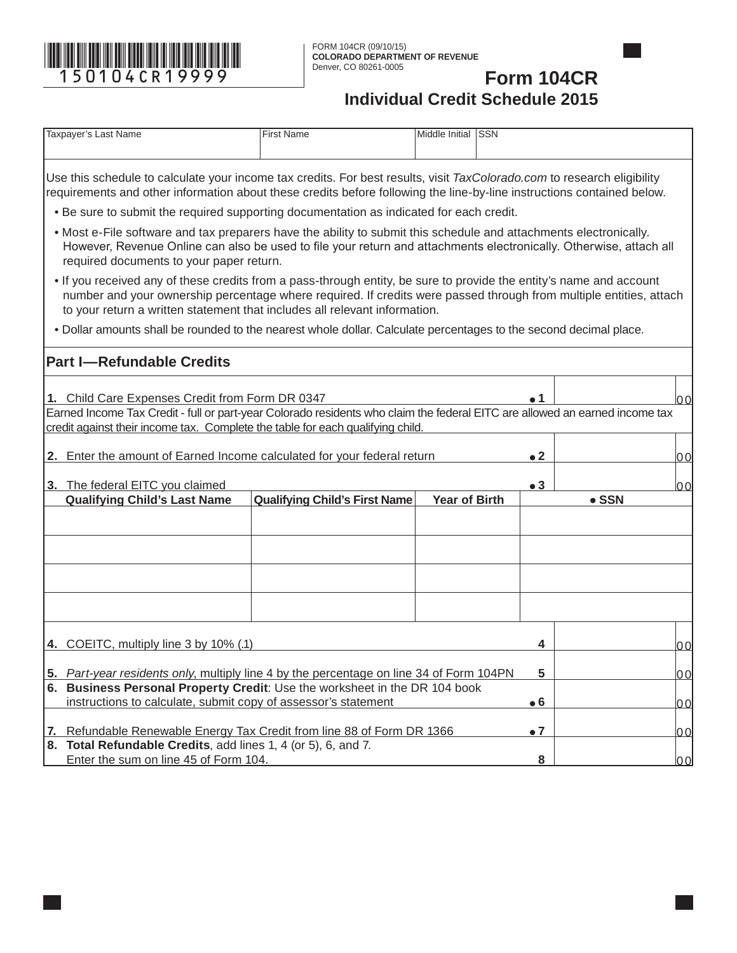

## **Form 104CR Individual Credit Schedule 2015**

| Taxpayer's Last Name                                                                                                                                                                                                                                                                                                    | <b>First Name</b>                    | Middle Initial SSN   |             |                |
|-------------------------------------------------------------------------------------------------------------------------------------------------------------------------------------------------------------------------------------------------------------------------------------------------------------------------|--------------------------------------|----------------------|-------------|----------------|
|                                                                                                                                                                                                                                                                                                                         |                                      |                      |             |                |
| Use this schedule to calculate your income tax credits. For best results, visit TaxColorado.com to research eligibility<br>requirements and other information about these credits before following the line-by-line instructions contained below.                                                                       |                                      |                      |             |                |
| . Be sure to submit the required supporting documentation as indicated for each credit.                                                                                                                                                                                                                                 |                                      |                      |             |                |
| • Most e-File software and tax preparers have the ability to submit this schedule and attachments electronically.<br>However, Revenue Online can also be used to file your return and attachments electronically. Otherwise, attach all<br>required documents to your paper return.                                     |                                      |                      |             |                |
| • If you received any of these credits from a pass-through entity, be sure to provide the entity's name and account<br>number and your ownership percentage where required. If credits were passed through from multiple entities, attach<br>to your return a written statement that includes all relevant information. |                                      |                      |             |                |
| . Dollar amounts shall be rounded to the nearest whole dollar. Calculate percentages to the second decimal place.                                                                                                                                                                                                       |                                      |                      |             |                |
| <b>Part I-Refundable Credits</b>                                                                                                                                                                                                                                                                                        |                                      |                      |             |                |
| 1. Child Care Expenses Credit from Form DR 0347<br>Earned Income Tax Credit - full or part-year Colorado residents who claim the federal EITC are allowed an earned income tax<br>credit against their income tax. Complete the table for each qualifying child.                                                        |                                      |                      | • 1         | 00             |
| 2. Enter the amount of Earned Income calculated for your federal return                                                                                                                                                                                                                                                 |                                      |                      | $\bullet$ 2 | 0 <sub>0</sub> |
| 3. The federal EITC you claimed                                                                                                                                                                                                                                                                                         |                                      |                      | $\bullet$ 3 | 00             |
| <b>Qualifying Child's Last Name</b>                                                                                                                                                                                                                                                                                     | <b>Qualifying Child's First Name</b> | <b>Year of Birth</b> |             | $\bullet$ SSN  |
|                                                                                                                                                                                                                                                                                                                         |                                      |                      |             |                |
|                                                                                                                                                                                                                                                                                                                         |                                      |                      |             |                |
|                                                                                                                                                                                                                                                                                                                         |                                      |                      |             |                |
|                                                                                                                                                                                                                                                                                                                         |                                      |                      |             |                |
|                                                                                                                                                                                                                                                                                                                         |                                      |                      |             |                |
| 4. COEITC, multiply line 3 by 10% (.1)                                                                                                                                                                                                                                                                                  |                                      |                      | 4           | 00             |
| 5. Part-year residents only, multiply line 4 by the percentage on line 34 of Form 104PN                                                                                                                                                                                                                                 |                                      |                      | 5           | 00             |
| 6. Business Personal Property Credit: Use the worksheet in the DR 104 book                                                                                                                                                                                                                                              |                                      |                      |             |                |
| instructions to calculate, submit copy of assessor's statement                                                                                                                                                                                                                                                          |                                      |                      | $\bullet$ 6 | 00             |
| Refundable Renewable Energy Tax Credit from line 88 of Form DR 1366<br>7.                                                                                                                                                                                                                                               |                                      |                      | $\bullet$ 7 | 00             |
| 8. Total Refundable Credits, add lines 1, 4 (or 5), 6, and 7.                                                                                                                                                                                                                                                           |                                      |                      |             |                |
| Enter the sum on line 45 of Form 104.                                                                                                                                                                                                                                                                                   |                                      |                      | 8           | 0 <sub>0</sub> |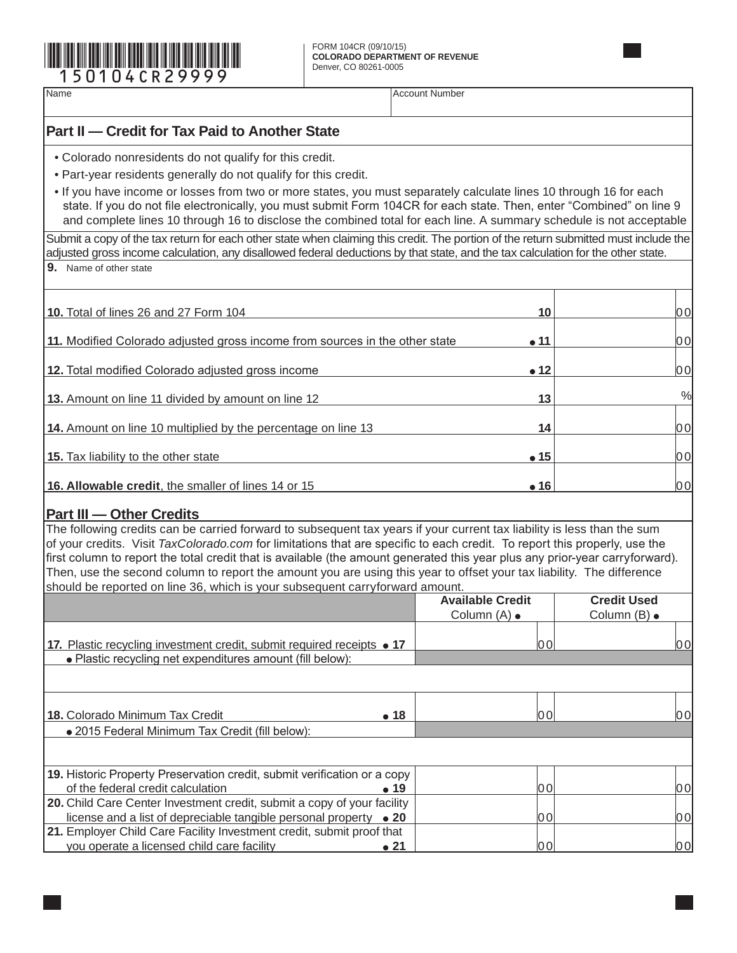

Name Account Number Account Number

## **Part II — Credit for Tax Paid to Another State**

- Colorado nonresidents do not qualify for this credit.
- Part-year residents generally do not qualify for this credit.
- If you have income or losses from two or more states, you must separately calculate lines 10 through 16 for each state. If you do not file electronically, you must submit Form 104CR for each state. Then, enter "Combined" on line 9 and complete lines 10 through 16 to disclose the combined total for each line. A summary schedule is not acceptable

Submit a copy of the tax return for each other state when claiming this credit. The portion of the return submitted must include the adjusted gross income calculation, any disallowed federal deductions by that state, and the tax calculation for the other state.

**9.** Name of other state

| <b>10.</b> Total of lines 26 and 27 Form 104                                | 10           | 00   |
|-----------------------------------------------------------------------------|--------------|------|
| 11. Modified Colorado adjusted gross income from sources in the other state | $\bullet$ 11 | 00   |
| <b>12.</b> Total modified Colorado adjusted gross income                    | $\bullet$ 12 | 00   |
| <b>13.</b> Amount on line 11 divided by amount on line 12                   | 13           | %    |
| 14. Amount on line 10 multiplied by the percentage on line 13               | 14           | lO 0 |
| <b>15.</b> Tax liability to the other state                                 | $\bullet$ 15 | 00   |
| 16. Allowable credit, the smaller of lines 14 or 15                         | $\bullet$ 16 | 00   |

## **Part III — Other Credits**

The following credits can be carried forward to subsequent tax years if your current tax liability is less than the sum of your credits. Visit *TaxColorado.com* for limitations that are specific to each credit. To report this properly, use the first column to report the total credit that is available (the amount generated this year plus any prior-year carryforward). Then, use the second column to report the amount you are using this year to offset your tax liability. The difference should be reported on line 36, which is your subsequent carryforward amount.

|                                                                                | <b>Available Credit</b> | <b>Credit Used</b> |
|--------------------------------------------------------------------------------|-------------------------|--------------------|
|                                                                                | Column $(A)$ $\bullet$  | Column (B) •       |
|                                                                                |                         |                    |
| 17. Plastic recycling investment credit, submit required receipts • 17         | 00                      | 00                 |
| • Plastic recycling net expenditures amount (fill below):                      |                         |                    |
|                                                                                |                         |                    |
|                                                                                |                         |                    |
|                                                                                |                         |                    |
| 18. Colorado Minimum Tax Credit<br>• 18                                        | 00                      | 00                 |
| · 2015 Federal Minimum Tax Credit (fill below):                                |                         |                    |
|                                                                                |                         |                    |
|                                                                                |                         |                    |
| 19. Historic Property Preservation credit, submit verification or a copy       |                         |                    |
| of the federal credit calculation<br>$\bullet$ 19                              | 00                      | 00                 |
| <b>20.</b> Child Care Center Investment credit, submit a copy of your facility |                         |                    |
| license and a list of depreciable tangible personal property $\bullet$ 20      | 00                      | 0이                 |
| 21. Employer Child Care Facility Investment credit, submit proof that          |                         |                    |
| you operate a licensed child care facility<br>$\bullet$ 21                     | 00                      | 0 O                |